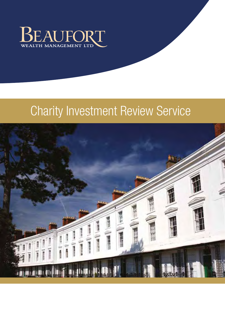

# Charity Investment Review Service

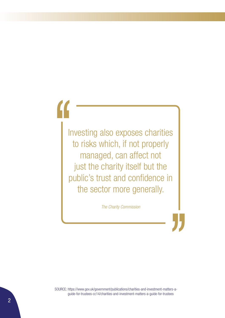Investing also exposes charities to risks which, if not properly managed, can affect not just the charity itself but the public's trust and confidence in the sector more generally.

*The Charity Commission*

SOURCE: https://www.gov.uk/government/publications/charities-and-investment-matters-aguide-for-trustees-cc14/charities-and-investment-matters-a-guide-for-trustees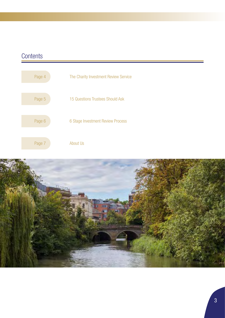# **Contents**



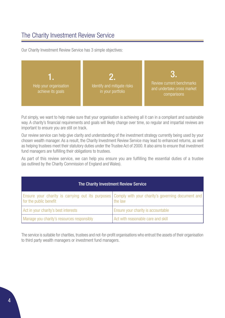### The Charity Investment Review Service

Our Charity Investment Review Service has 3 simple objectives:



Put simply, we want to help make sure that your organisation is achieving all it can in a compliant and sustainable way. A charity's financial requirements and goals will likely change over time, so regular and impartial reviews are important to ensure you are still on track.

Our review service can help give clarity and understanding of the investment strategy currently being used by your chosen wealth manager. As a result, the Charity Investment Review Service may lead to enhanced returns, as well as helping trustees meet their statutory duties under the Trustee Act of 2000. It also aims to ensure that investment fund managers are fulfilling their obligations to trustees.

As part of this review service, we can help you ensure you are fulfilling the essential duties of a trustee (as outlined by the Charity Commission of England and Wales).

| The Charity Investment Review Service      |                                                                                                               |
|--------------------------------------------|---------------------------------------------------------------------------------------------------------------|
| for the public benefit                     | Ensure your charity is carrying out its purposes Comply with your charity's governing document and<br>the law |
| Act in your charity's best interests       | Ensure your charity is accountable                                                                            |
| Manage you charity's resources responsibly | Act with reasonable care and skill                                                                            |

The service is suitable for charities, trustees and not-for-profit organisations who entrust the assets of their organisation to third party wealth managers or investment fund managers.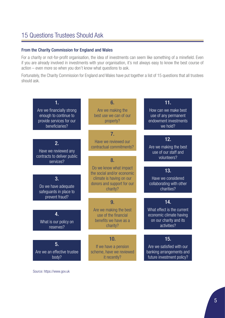### 15 Questions Trustees Should Ask

#### From the Charity Commission for England and Wales

For a charity or not-for-profit organisation, the idea of investments can seem like something of a minefield. Even if you are already involved in investments with your organisation, it's not always easy to know the best course of action – even more so when you don't know what questions to ask.

Fortunately, the Charity Commission for England and Wales have put together a list of 15 questions that all trustees should ask.



Source: https://www.gov.uk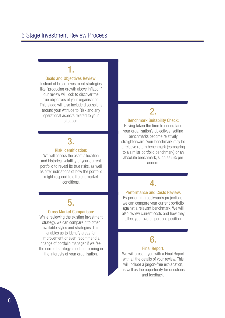# 1.

#### Goals and Objectives Review:

Instead of broad investment strategies like "producing growth above inflation" our review will look to discover the true objectives of your organisation. This stage will also include discussions around your Attitude to Risk and any operational aspects related to your situation.

# 3.

#### Risk Identification:

We will assess the asset allocation and historical volatility of your current portfolio to reveal its true risks, as well as offer indications of how the portfolio might respond to different market conditions.

# 5.

#### Cross Market Comparison:

While reviewing the existing investment strategy, we can compare it to other available styles and strategies. This enables us to identify areas for improvement or even recommend a change of portfolio manager if we feel the current strategy is not performing in the interests of your organisation.

# 2.

#### Benchmark Suitability Check:

Having taken the time to understand your organisation's objectives, setting benchmarks become relatively straighforward. Your benchmark may be a relative return benchmark (comparing to a similar portfolio benchmark) or an absolute benchmark, such as 5% per annum.

# 4.

#### Performance and Costs Review:

By performing backwards projections, we can compare your current portfolio against a relevant benchmark. We will also review current costs and how they affect your overall portfolio position.

# 6.

#### Final Report:

We will present you with a Final Report with all the details of your review. This will include a jargon-free explanation, as well as the opportunity for questions and feedback.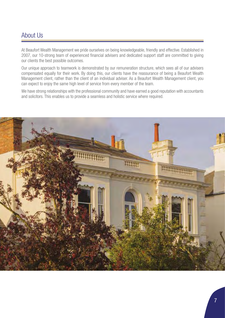### About Us

At Beaufort Wealth Management we pride ourselves on being knowledgeable, friendly and effective. Established in 2007, our 10-strong team of experienced financial advisers and dedicated support staff are committed to giving our clients the best possible outcomes.

Our unique approach to teamwork is demonstrated by our remuneration structure, which sees all of our advisers compensated equally for their work. By doing this, our clients have the reassurance of being a Beaufort Wealth Management client, rather than the client of an individual adviser. As a Beaufort Wealth Management client, you can expect to enjoy the same high level of service from every member of the team.

We have strong relationships with the professional community and have earned a good reputation with accountants and solicitors. This enables us to provide a seamless and holistic service where required.